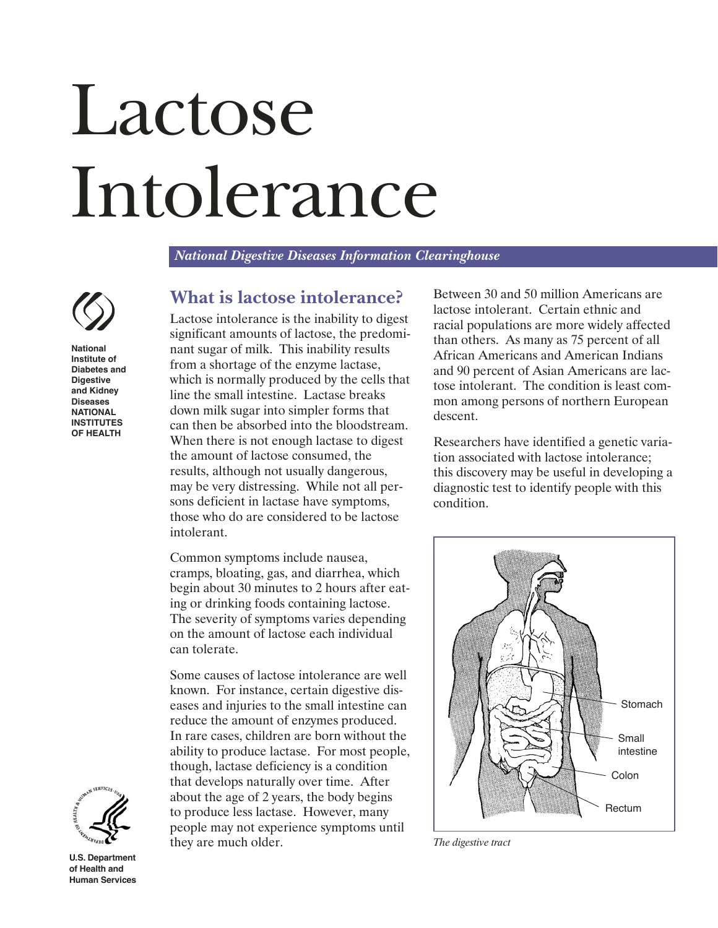# Lactose Intolerance

*National Digestive Diseases Information Clearinghouse*



**National Institute of Diabetes and Digestive and Kidney Diseases NATIONAL INSTITUTES OF HEALTH**

## **What is lactose intolerance?**

Lactose intolerance is the inability to digest significant amounts of lactose, the predominant sugar of milk. This inability results from a shortage of the enzyme lactase, which is normally produced by the cells that line the small intestine. Lactase breaks down milk sugar into simpler forms that can then be absorbed into the bloodstream. When there is not enough lactase to digest the amount of lactose consumed, the results, although not usually dangerous, may be very distressing. While not all persons deficient in lactase have symptoms, those who do are considered to be lactose intolerant.

Common symptoms include nausea, cramps, bloating, gas, and diarrhea, which begin about 30 minutes to 2 hours after eating or drinking foods containing lactose. The severity of symptoms varies depending on the amount of lactose each individual can tolerate.

Some causes of lactose intolerance are well known. For instance, certain digestive diseases and injuries to the small intestine can reduce the amount of enzymes produced. In rare cases, children are born without the ability to produce lactase. For most people, though, lactase deficiency is a condition that develops naturally over time. After about the age of 2 years, the body begins to produce less lactase. However, many people may not experience symptoms until they are much older.

Between 30 and 50 million Americans are lactose intolerant. Certain ethnic and racial populations are more widely affected than others. As many as 75 percent of all African Americans and American Indians and 90 percent of Asian Americans are lactose intolerant. The condition is least common among persons of northern European descent.

Researchers have identified a genetic variation associated with lactose intolerance; this discovery may be useful in developing a diagnostic test to identify people with this condition.



*The digestive tract*



**U.S. Department of Health and Human Services**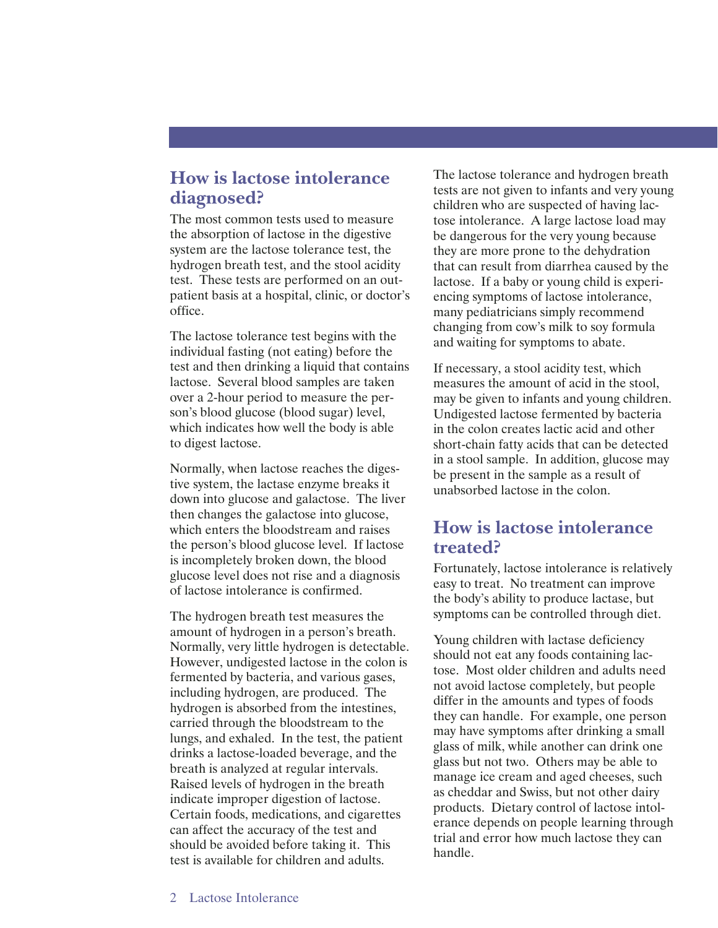#### **How is lactose intolerance diagnosed?**

The most common tests used to measure the absorption of lactose in the digestive system are the lactose tolerance test, the hydrogen breath test, and the stool acidity test. These tests are performed on an outpatient basis at a hospital, clinic, or doctor's office.

The lactose tolerance test begins with the individual fasting (not eating) before the test and then drinking a liquid that contains lactose. Several blood samples are taken over a 2-hour period to measure the person's blood glucose (blood sugar) level, which indicates how well the body is able to digest lactose.

Normally, when lactose reaches the digestive system, the lactase enzyme breaks it down into glucose and galactose. The liver then changes the galactose into glucose, which enters the bloodstream and raises the person's blood glucose level. If lactose is incompletely broken down, the blood glucose level does not rise and a diagnosis of lactose intolerance is confirmed.

The hydrogen breath test measures the amount of hydrogen in a person's breath. Normally, very little hydrogen is detectable. However, undigested lactose in the colon is fermented by bacteria, and various gases, including hydrogen, are produced. The hydrogen is absorbed from the intestines, carried through the bloodstream to the lungs, and exhaled. In the test, the patient drinks a lactose-loaded beverage, and the breath is analyzed at regular intervals. Raised levels of hydrogen in the breath indicate improper digestion of lactose. Certain foods, medications, and cigarettes can affect the accuracy of the test and should be avoided before taking it. This test is available for children and adults.

The lactose tolerance and hydrogen breath tests are not given to infants and very young children who are suspected of having lactose intolerance. A large lactose load may be dangerous for the very young because they are more prone to the dehydration that can result from diarrhea caused by the lactose. If a baby or young child is experiencing symptoms of lactose intolerance, many pediatricians simply recommend changing from cow's milk to soy formula and waiting for symptoms to abate.

If necessary, a stool acidity test, which measures the amount of acid in the stool, may be given to infants and young children. Undigested lactose fermented by bacteria in the colon creates lactic acid and other short-chain fatty acids that can be detected in a stool sample. In addition, glucose may be present in the sample as a result of unabsorbed lactose in the colon.

### **How is lactose intolerance treated?**

Fortunately, lactose intolerance is relatively easy to treat. No treatment can improve the body's ability to produce lactase, but symptoms can be controlled through diet.

Young children with lactase deficiency should not eat any foods containing lactose. Most older children and adults need not avoid lactose completely, but people differ in the amounts and types of foods they can handle. For example, one person may have symptoms after drinking a small glass of milk, while another can drink one glass but not two. Others may be able to manage ice cream and aged cheeses, such as cheddar and Swiss, but not other dairy products. Dietary control of lactose intolerance depends on people learning through trial and error how much lactose they can handle.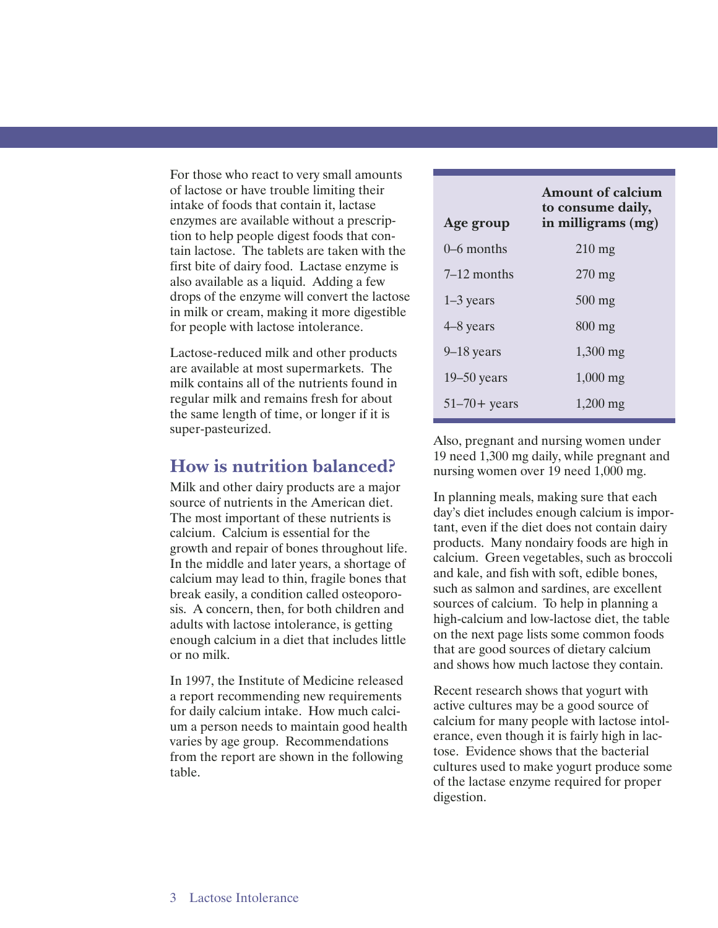For those who react to very small amounts of lactose or have trouble limiting their intake of foods that contain it, lactase enzymes are available without a prescription to help people digest foods that contain lactose. The tablets are taken with the first bite of dairy food. Lactase enzyme is also available as a liquid. Adding a few drops of the enzyme will convert the lactose in milk or cream, making it more digestible for people with lactose intolerance.

Lactose-reduced milk and other products are available at most supermarkets. The milk contains all of the nutrients found in regular milk and remains fresh for about the same length of time, or longer if it is super-pasteurized.

#### **How is nutrition balanced?**

Milk and other dairy products are a major source of nutrients in the American diet. The most important of these nutrients is calcium. Calcium is essential for the growth and repair of bones throughout life. In the middle and later years, a shortage of calcium may lead to thin, fragile bones that break easily, a condition called osteoporosis. A concern, then, for both children and adults with lactose intolerance, is getting enough calcium in a diet that includes little or no milk.

In 1997, the Institute of Medicine released a report recommending new requirements for daily calcium intake. How much calcium a person needs to maintain good health varies by age group. Recommendations from the report are shown in the following table.

| Age group       | <b>Amount of calcium</b><br>to consume daily,<br>in milligrams (mg) |  |
|-----------------|---------------------------------------------------------------------|--|
| $0-6$ months    | $210 \text{ mg}$                                                    |  |
| $7-12$ months   | $270 \text{ mg}$                                                    |  |
| $1-3$ years     | $500$ mg                                                            |  |
| 4–8 years       | $800$ mg                                                            |  |
| $9-18$ years    | $1,300$ mg                                                          |  |
| $19 - 50$ years | $1,000$ mg                                                          |  |
| $51-70+$ years  | $1,200$ mg                                                          |  |

Also, pregnant and nursing women under 19 need 1,300 mg daily, while pregnant and nursing women over 19 need 1,000 mg.

In planning meals, making sure that each day's diet includes enough calcium is important, even if the diet does not contain dairy products. Many nondairy foods are high in calcium. Green vegetables, such as broccoli and kale, and fish with soft, edible bones, such as salmon and sardines, are excellent sources of calcium. To help in planning a high-calcium and low-lactose diet, the table on the next page lists some common foods that are good sources of dietary calcium and shows how much lactose they contain.

Recent research shows that yogurt with active cultures may be a good source of calcium for many people with lactose intolerance, even though it is fairly high in lactose. Evidence shows that the bacterial cultures used to make yogurt produce some of the lactase enzyme required for proper digestion.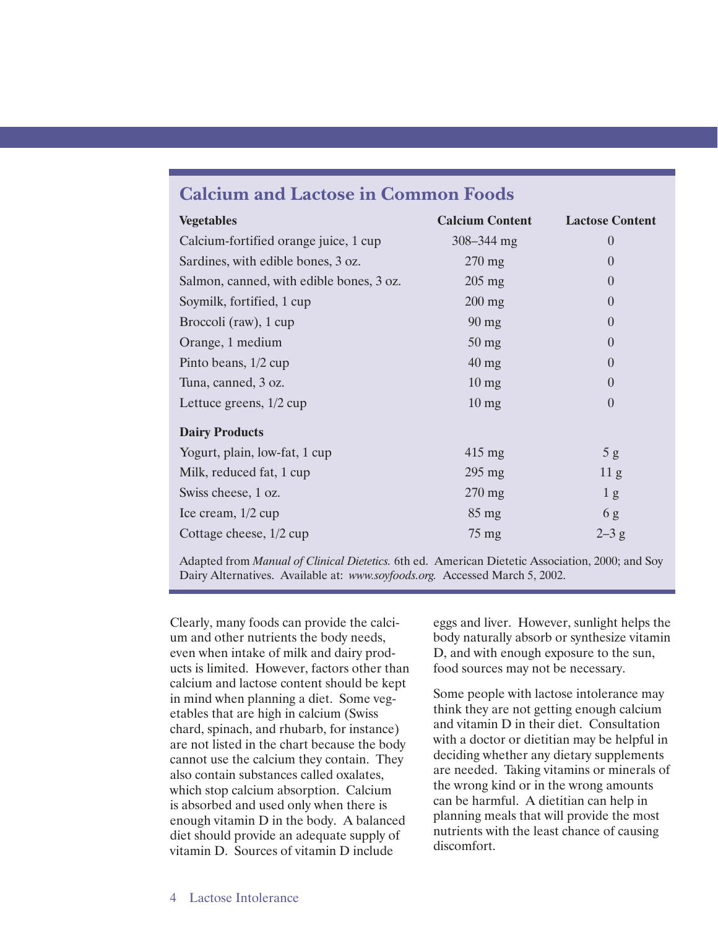| <b>Vegetables</b>                        | <b>Calcium Content</b> | <b>Lactose Content</b> |
|------------------------------------------|------------------------|------------------------|
| Calcium-fortified orange juice, 1 cup    | $308 - 344$ mg         | $\theta$               |
| Sardines, with edible bones, 3 oz.       | $270$ mg               | $\boldsymbol{0}$       |
| Salmon, canned, with edible bones, 3 oz. | $205 \text{ mg}$       | $\overline{0}$         |
| Soymilk, fortified, 1 cup                | $200 \text{ mg}$       | $\overline{0}$         |
| Broccoli (raw), 1 cup                    | $90$ mg                | $\theta$               |
| Orange, 1 medium                         | $50 \,\mathrm{mg}$     | $\overline{0}$         |
| Pinto beans, 1/2 cup                     | $40 \text{ mg}$        | $\overline{0}$         |
| Tuna, canned, 3 oz.                      | $10 \text{ mg}$        | $\theta$               |
| Lettuce greens, $1/2$ cup                | $10 \text{ mg}$        | $\overline{0}$         |
| <b>Dairy Products</b>                    |                        |                        |
| Yogurt, plain, low-fat, 1 cup            | $415 \text{ mg}$       | 5 g                    |
| Milk, reduced fat, 1 cup                 | $295 \text{ mg}$       | 11 <sub>g</sub>        |
| Swiss cheese, 1 oz.                      | $270 \text{ mg}$       | 1 <sub>g</sub>         |
| Ice cream, $1/2$ cup                     | $85 \text{ mg}$        | 6g                     |
| Cottage cheese, 1/2 cup                  | $75 \text{ mg}$        | $2 - 3$ g              |

# **Calcium and Lactose in Common Foods**

Adapted from *Manual of Clinical Dietetics.* 6th ed. American Dietetic Association, 2000; and Soy Dairy Alternatives. Available at: *www.soyfoods.org.* Accessed March 5, 2002.

Clearly, many foods can provide the calcium and other nutrients the body needs, even when intake of milk and dairy products is limited. However, factors other than calcium and lactose content should be kept in mind when planning a diet. Some vegetables that are high in calcium (Swiss chard, spinach, and rhubarb, for instance) are not listed in the chart because the body cannot use the calcium they contain. They also contain substances called oxalates, which stop calcium absorption. Calcium is absorbed and used only when there is enough vitamin D in the body. A balanced diet should provide an adequate supply of vitamin D. Sources of vitamin D include

eggs and liver. However, sunlight helps the body naturally absorb or synthesize vitamin D, and with enough exposure to the sun, food sources may not be necessary.

Some people with lactose intolerance may think they are not getting enough calcium and vitamin D in their diet. Consultation with a doctor or dietitian may be helpful in deciding whether any dietary supplements are needed. Taking vitamins or minerals of the wrong kind or in the wrong amounts can be harmful. A dietitian can help in planning meals that will provide the most nutrients with the least chance of causing discomfort.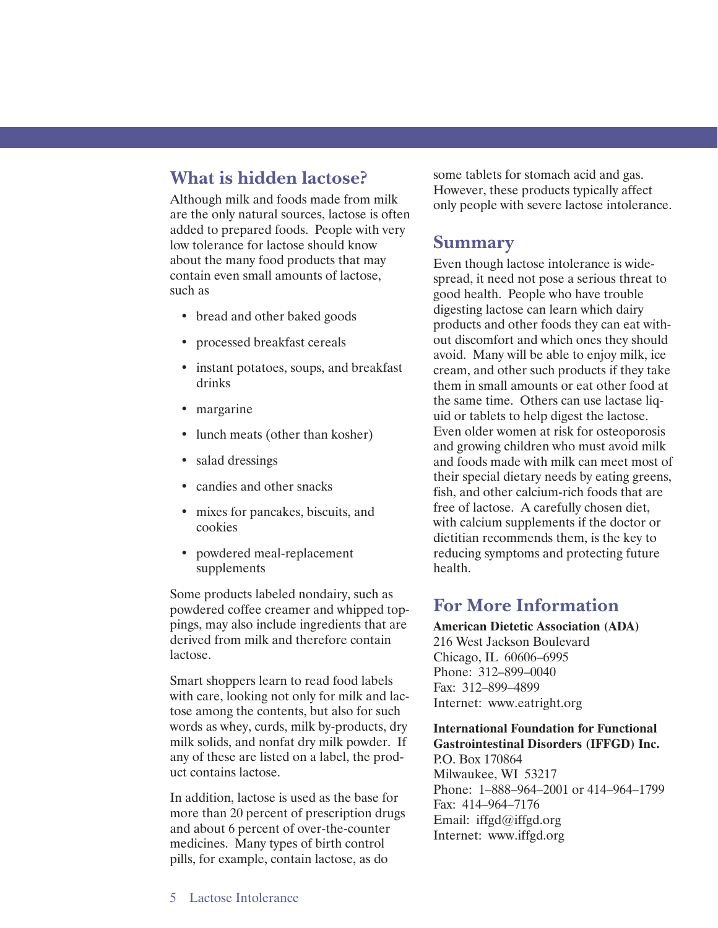# **What is hidden lactose?**

Although milk and foods made from milk are the only natural sources, lactose is often added to prepared foods. People with very low tolerance for lactose should know about the many food products that may contain even small amounts of lactose, such as

- bread and other baked goods
- processed breakfast cereals
- instant potatoes, soups, and breakfast drinks
- margarine
- lunch meats (other than kosher)
- salad dressings
- candies and other snacks
- mixes for pancakes, biscuits, and cookies
- powdered meal-replacement supplements

Some products labeled nondairy, such as powdered coffee creamer and whipped toppings, may also include ingredients that are derived from milk and therefore contain lactose.

Smart shoppers learn to read food labels with care, looking not only for milk and lactose among the contents, but also for such words as whey, curds, milk by-products, dry milk solids, and nonfat dry milk powder. If any of these are listed on a label, the product contains lactose.

In addition, lactose is used as the base for more than 20 percent of prescription drugs and about 6 percent of over-the-counter medicines. Many types of birth control pills, for example, contain lactose, as do

some tablets for stomach acid and gas. However, these products typically affect only people with severe lactose intolerance.

#### **Summary**

Even though lactose intolerance is widespread, it need not pose a serious threat to good health. People who have trouble digesting lactose can learn which dairy products and other foods they can eat without discomfort and which ones they should avoid. Many will be able to enjoy milk, ice cream, and other such products if they take them in small amounts or eat other food at the same time. Others can use lactase liquid or tablets to help digest the lactose. Even older women at risk for osteoporosis and growing children who must avoid milk and foods made with milk can meet most of their special dietary needs by eating greens, fish, and other calcium-rich foods that are free of lactose. A carefully chosen diet, with calcium supplements if the doctor or dietitian recommends them, is the key to reducing symptoms and protecting future health.

#### **For More Information**

#### **American Dietetic Association (ADA)**

216 West Jackson Boulevard Chicago, IL 60606–6995 Phone: 312–899–0040 Fax: 312–899–4899 Internet: www.eatright.org

#### **International Foundation for Functional Gastrointestinal Disorders (IFFGD) Inc.**

P.O. Box 170864 Milwaukee, WI 53217 Phone: 1–888–964–2001 or 414–964–1799 Fax: 414–964–7176 Email: iffgd@iffgd.org Internet: www.iffgd.org